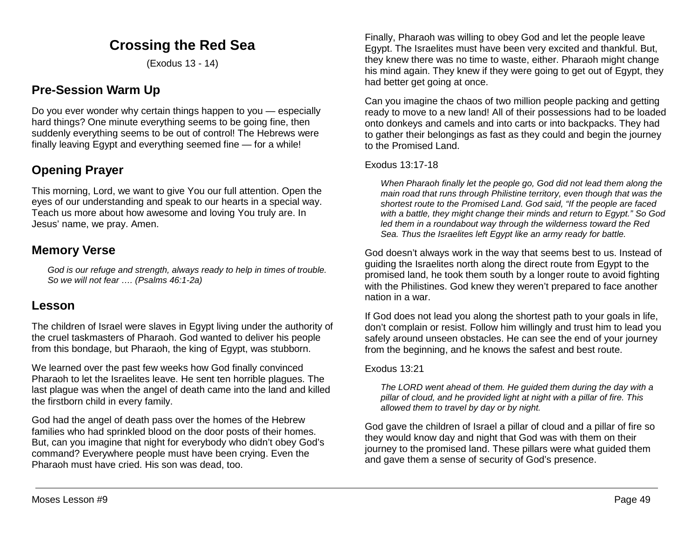# **Crossing the Red Sea**

(Exodus 13 - 14)

# **Pre-Session Warm Up**

Do you ever wonder why certain things happen to you — especially hard things? One minute everything seems to be going fine, then suddenly everything seems to be out of control! The Hebrews were finally leaving Egypt and everything seemed fine — for a while!

# **Opening Prayer**

This morning, Lord, we want to give You our full attention. Open the eyes of our understanding and speak to our hearts in a special way. Teach us more about how awesome and loving You truly are. In Jesus' name, we pray. Amen.

## **Memory Verse**

*God is our refuge and strength, always ready to help in times of trouble. So we will not fear …. (Psalms 46:1-2a)*

## **Lesson**

The children of Israel were slaves in Egypt living under the authority of the cruel taskmasters of Pharaoh. God wanted to deliver his people from this bondage, but Pharaoh, the king of Egypt, was stubborn.

We learned over the past few weeks how God finally convinced Pharaoh to let the Israelites leave. He sent ten horrible plagues. The last plague was when the angel of death came into the land and killed the firstborn child in every family.

God had the angel of death pass over the homes of the Hebrew families who had sprinkled blood on the door posts of their homes. But, can you imagine that night for everybody who didn't obey God's command? Everywhere people must have been crying. Even the Pharaoh must have cried. His son was dead, too.

Finally, Pharaoh was willing to obey God and let the people leave Egypt. The Israelites must have been very excited and thankful. But, they knew there was no time to waste, either. Pharaoh might change his mind again. They knew if they were going to get out of Egypt, they had better get going at once.

Can you imagine the chaos of two million people packing and getting ready to move to a new land! All of their possessions had to be loaded onto donkeys and camels and into carts or into backpacks. They had to gather their belongings as fast as they could and begin the journey to the Promised Land.

#### Exodus 13:17-18

*When Pharaoh finally let the people go, God did not lead them along the main road that runs through Philistine territory, even though that was the shortest route to the Promised Land. God said, "If the people are faced with a battle, they might change their minds and return to Egypt." So God led them in a roundabout way through the wilderness toward the Red Sea. Thus the Israelites left Egypt like an army ready for battle.* 

God doesn't always work in the way that seems best to us. Instead of guiding the Israelites north along the direct route from Egypt to the promised land, he took them south by a longer route to avoid fighting with the Philistines. God knew they weren't prepared to face another nation in a war.

If God does not lead you along the shortest path to your goals in life, don't complain or resist. Follow him willingly and trust him to lead you safely around unseen obstacles. He can see the end of your journey from the beginning, and he knows the safest and best route.

## Exodus 13:21

*The LORD went ahead of them. He guided them during the day with a pillar of cloud, and he provided light at night with a pillar of fire. This allowed them to travel by day or by night.*

God gave the children of Israel a pillar of cloud and a pillar of fire so they would know day and night that God was with them on their journey to the promised land. These pillars were what guided them and gave them a sense of security of God's presence.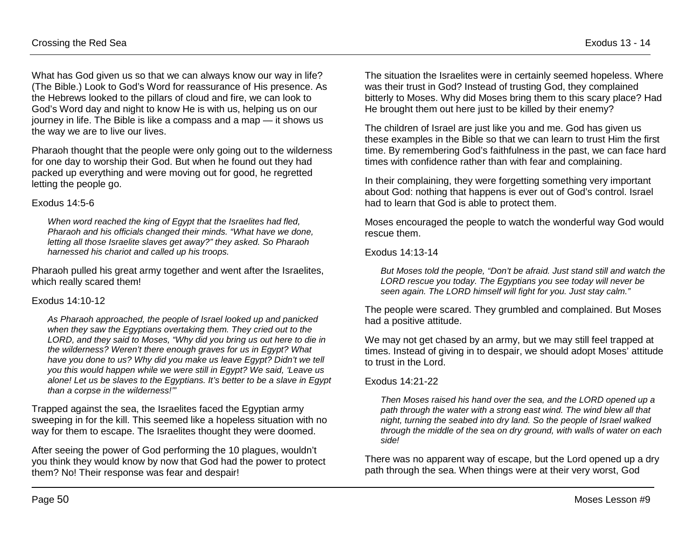What has God given us so that we can always know our way in life? (The Bible.) Look to God's Word for reassurance of His presence. As the Hebrews looked to the pillars of cloud and fire, we can look to God's Word day and night to know He is with us, helping us on our journey in life. The Bible is like a compass and a map — it shows us the way we are to live our lives.

Pharaoh thought that the people were only going out to the wilderness for one day to worship their God. But when he found out they had packed up everything and were moving out for good, he regretted letting the people go.

#### Exodus 14:5-6

*When word reached the king of Egypt that the Israelites had fled, Pharaoh and his officials changed their minds. "What have we done, letting all those Israelite slaves get away?" they asked. So Pharaoh harnessed his chariot and called up his troops.* 

Pharaoh pulled his great army together and went after the Israelites, which really scared them!

#### Exodus 14:10-12

*As Pharaoh approached, the people of Israel looked up and panicked when they saw the Egyptians overtaking them. They cried out to the LORD, and they said to Moses, "Why did you bring us out here to die in the wilderness? Weren't there enough graves for us in Egypt? What have you done to us? Why did you make us leave Egypt? Didn't we tell you this would happen while we were still in Egypt? We said, 'Leave us alone! Let us be slaves to the Egyptians. It's better to be a slave in Egypt than a corpse in the wilderness!'"* 

Trapped against the sea, the Israelites faced the Egyptian army sweeping in for the kill. This seemed like a hopeless situation with no way for them to escape. The Israelites thought they were doomed.

After seeing the power of God performing the 10 plagues, wouldn't you think they would know by now that God had the power to protect them? No! Their response was fear and despair!

The situation the Israelites were in certainly seemed hopeless. Where was their trust in God? Instead of trusting God, they complained bitterly to Moses. Why did Moses bring them to this scary place? Had He brought them out here just to be killed by their enemy?

The children of Israel are just like you and me. God has given us these examples in the Bible so that we can learn to trust Him the first time. By remembering God's faithfulness in the past, we can face hard times with confidence rather than with fear and complaining.

In their complaining, they were forgetting something very important about God: nothing that happens is ever out of God's control. Israel had to learn that God is able to protect them.

Moses encouraged the people to watch the wonderful way God would rescue them.

Exodus 14:13-14

*But Moses told the people, "Don't be afraid. Just stand still and watch the LORD rescue you today. The Egyptians you see today will never be seen again. The LORD himself will fight for you. Just stay calm."* 

The people were scared. They grumbled and complained. But Moses had a positive attitude.

We may not get chased by an army, but we may still feel trapped at times. Instead of giving in to despair, we should adopt Moses' attitude to trust in the Lord.

## Exodus 14:21-22

*Then Moses raised his hand over the sea, and the LORD opened up a path through the water with a strong east wind. The wind blew all that night, turning the seabed into dry land. So the people of Israel walked through the middle of the sea on dry ground, with walls of water on each side!* 

There was no apparent way of escape, but the Lord opened up a dry path through the sea. When things were at their very worst, God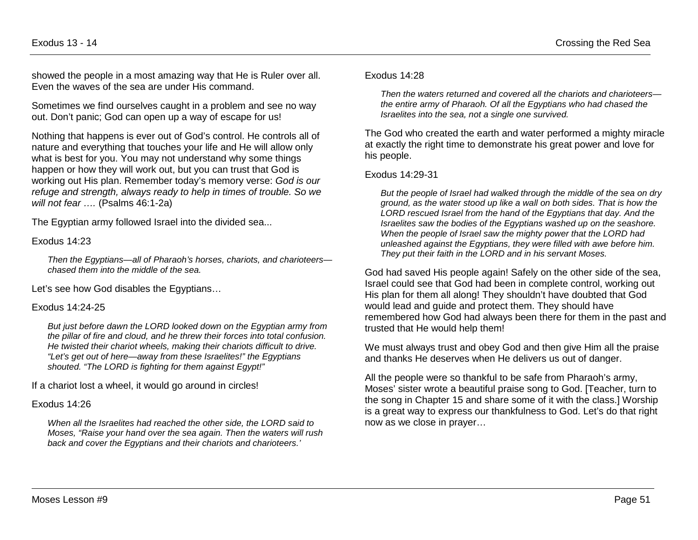showed the people in a most amazing way that He is Ruler over all. Even the waves of the sea are under His command.

Sometimes we find ourselves caught in a problem and see no way out. Don't panic; God can open up a way of escape for us!

Nothing that happens is ever out of God's control. He controls all of nature and everything that touches your life and He will allow only what is best for you. You may not understand why some things happen or how they will work out, but you can trust that God is working out His plan. Remember today's memory verse: *God is our refuge and strength, always ready to help in times of trouble. So we will not fear ….* (Psalms 46:1-2a)

The Egyptian army followed Israel into the divided sea...

Exodus 14:23

*Then the Egyptians—all of Pharaoh's horses, chariots, and charioteers chased them into the middle of the sea.*

Let's see how God disables the Egyptians…

#### Exodus 14:24-25

*But just before dawn the LORD looked down on the Egyptian army from the pillar of fire and cloud, and he threw their forces into total confusion. He twisted their chariot wheels, making their chariots difficult to drive. "Let's get out of here—away from these Israelites!" the Egyptians shouted. "The LORD is fighting for them against Egypt!"* 

If a chariot lost a wheel, it would go around in circles!

#### Exodus 14:26

*When all the Israelites had reached the other side, the LORD said to Moses, "Raise your hand over the sea again. Then the waters will rush back and cover the Egyptians and their chariots and charioteers.'* 

#### Exodus 14:28

*Then the waters returned and covered all the chariots and charioteers the entire army of Pharaoh. Of all the Egyptians who had chased the Israelites into the sea, not a single one survived.* 

The God who created the earth and water performed a mighty miracle at exactly the right time to demonstrate his great power and love for his people.

#### Exodus 14:29-31

*But the people of Israel had walked through the middle of the sea on dry ground, as the water stood up like a wall on both sides. That is how the LORD rescued Israel from the hand of the Egyptians that day. And the Israelites saw the bodies of the Egyptians washed up on the seashore. When the people of Israel saw the mighty power that the LORD had unleashed against the Egyptians, they were filled with awe before him. They put their faith in the LORD and in his servant Moses.* 

God had saved His people again! Safely on the other side of the sea, Israel could see that God had been in complete control, working out His plan for them all along! They shouldn't have doubted that God would lead and guide and protect them. They should have remembered how God had always been there for them in the past and trusted that He would help them!

We must always trust and obey God and then give Him all the praise and thanks He deserves when He delivers us out of danger.

All the people were so thankful to be safe from Pharaoh's army, Moses' sister wrote a beautiful praise song to God. [Teacher, turn to the song in Chapter 15 and share some of it with the class.] Worship is a great way to express our thankfulness to God. Let's do that right now as we close in prayer…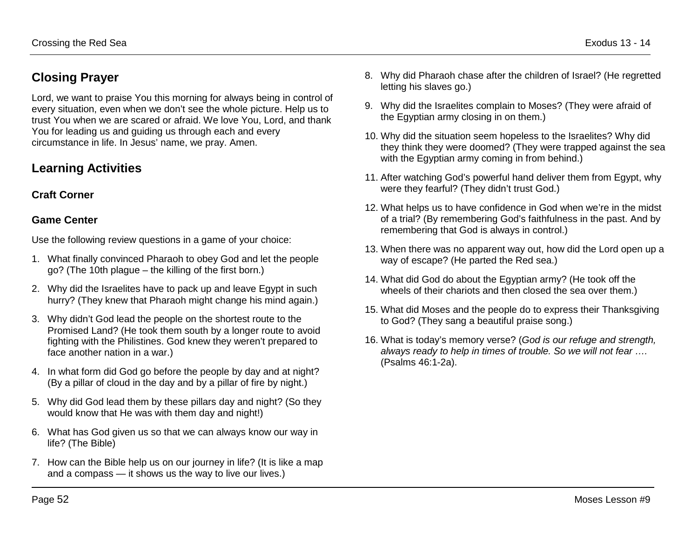# **Closing Prayer**

Lord, we want to praise You this morning for always being in control of every situation, even when we don't see the whole picture. Help us to trust You when we are scared or afraid. We love You, Lord, and thank You for leading us and guiding us through each and every circumstance in life. In Jesus' name, we pray. Amen.

# **Learning Activities**

## **Craft Corner**

## **Game Center**

Use the following review questions in a game of your choice:

- 1. What finally convinced Pharaoh to obey God and let the people go? (The 10th plague – the killing of the first born.)
- 2. Why did the Israelites have to pack up and leave Egypt in such hurry? (They knew that Pharaoh might change his mind again.)
- 3. Why didn't God lead the people on the shortest route to the Promised Land? (He took them south by a longer route to avoid fighting with the Philistines. God knew they weren't prepared to face another nation in a war.)
- 4. In what form did God go before the people by day and at night? (By a pillar of cloud in the day and by a pillar of fire by night.)
- 5. Why did God lead them by these pillars day and night? (So they would know that He was with them day and night!)
- 6. What has God given us so that we can always know our way in life? (The Bible)
- 7. How can the Bible help us on our journey in life? (It is like a map and a compass — it shows us the way to live our lives.)
- 8. Why did Pharaoh chase after the children of Israel? (He regretted letting his slaves go.)
- 9. Why did the Israelites complain to Moses? (They were afraid of the Egyptian army closing in on them.)
- 10. Why did the situation seem hopeless to the Israelites? Why did they think they were doomed? (They were trapped against the sea with the Egyptian army coming in from behind.)
- 11. After watching God's powerful hand deliver them from Egypt, why were they fearful? (They didn't trust God.)
- 12. What helps us to have confidence in God when we're in the midst of a trial? (By remembering God's faithfulness in the past. And by remembering that God is always in control.)
- 13. When there was no apparent way out, how did the Lord open up a way of escape? (He parted the Red sea.)
- 14. What did God do about the Egyptian army? (He took off the wheels of their chariots and then closed the sea over them.)
- 15. What did Moses and the people do to express their Thanksgiving to God? (They sang a beautiful praise song.)
- 16. What is today's memory verse? (*God is our refuge and strength, always ready to help in times of trouble. So we will not fear ….* (Psalms 46:1-2a).